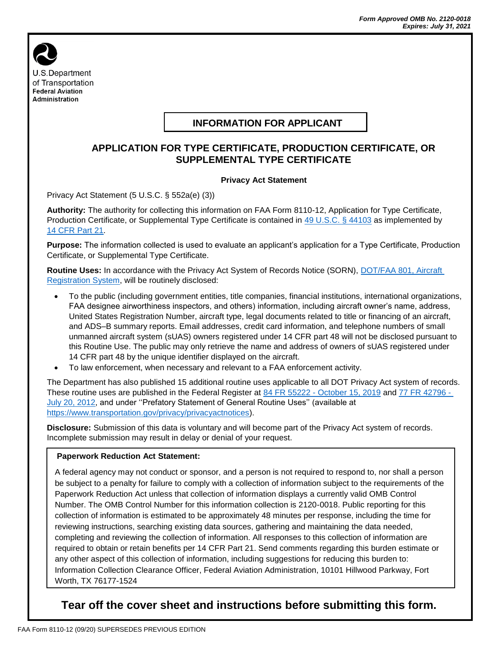

# **INFORMATION FOR APPLICANT**

### **APPLICATION FOR TYPE CERTIFICATE, PRODUCTION CERTIFICATE, OR SUPPLEMENTAL TYPE CERTIFICATE**

#### **Privacy Act Statement**

Privacy Act Statement (5 U.S.C. § 552a(e) (3))

**Authority:** The authority for collecting this information on FAA Form 8110-12, Application for Type Certificate, Production Certificate, or Supplemental Type Certificate is contained in 49 [U.S.C. § 44103](https://www.law.cornell.edu/uscode/text/49/44103) as implemented by 14 [CFR Part 21.](https://www.law.cornell.edu/cfr/text/14/part-21)

**Purpose:** The information collected is used to evaluate an applicant's application for a Type Certificate, Production Certificate, or Supplemental Type Certificate.

**Routine Uses:** In accordance with the Privacy Act System of Records Notice (SORN), [DOT/FAA 801, Aircraft](https://www.govinfo.gov/content/pkg/FR-2016-08-15/pdf/2016-19354.pdf)  [Registration System,](https://www.govinfo.gov/content/pkg/FR-2016-08-15/pdf/2016-19354.pdf) will be routinely disclosed:

- To the public (including government entities, title companies, financial institutions, international organizations, FAA designee airworthiness inspectors, and others) information, including aircraft owner's name, address, United States Registration Number, aircraft type, legal documents related to title or financing of an aircraft, and ADS–B summary reports. Email addresses, credit card information, and telephone numbers of small unmanned aircraft system (sUAS) owners registered under 14 CFR part 48 will not be disclosed pursuant to this Routine Use. The public may only retrieve the name and address of owners of sUAS registered under 14 CFR part 48 by the unique identifier displayed on the aircraft.
- To law enforcement, when necessary and relevant to a FAA enforcement activity.

The Department has also published 15 additional routine uses applicable to all DOT Privacy Act system of records. These routine uses are published in the Federal Register at 84 FR 55222 - [October 15, 2019](https://www.federalregister.gov/documents/2019/10/15/2019-22398/privacy-act-of-1974-system-of-records-amendment-of-a-general-routine-use) and 77 [FR 42796 -](https://www.federalregister.gov/documents/2012/07/20/2012-17697/privacy-act-of-1974-system-of-records-statement-of-general-routine-uses-notice-of-establishment-of) [July 20, 2012,](https://www.federalregister.gov/documents/2012/07/20/2012-17697/privacy-act-of-1974-system-of-records-statement-of-general-routine-uses-notice-of-establishment-of) and under "Prefatory Statement of General Routine Uses" (available at [https://www.transportation.gov/privacy/privacyactnotices\)](https://www.transportation.gov/individuals/privacy/privacy-act-system-records-notices).

**Disclosure:** Submission of this data is voluntary and will become part of the Privacy Act system of records. Incomplete submission may result in delay or denial of your request.

#### **Paperwork Reduction Act Statement:**

A federal agency may not conduct or sponsor, and a person is not required to respond to, nor shall a person be subject to a penalty for failure to comply with a collection of information subject to the requirements of the Paperwork Reduction Act unless that collection of information displays a currently valid OMB Control Number. The OMB Control Number for this information collection is 2120-0018. Public reporting for this collection of information is estimated to be approximately 48 minutes per response, including the time for reviewing instructions, searching existing data sources, gathering and maintaining the data needed, completing and reviewing the collection of information. All responses to this collection of information are required to obtain or retain benefits per 14 CFR Part 21. Send comments regarding this burden estimate or any other aspect of this collection of information, including suggestions for reducing this burden to: Information Collection Clearance Officer, Federal Aviation Administration, 10101 Hillwood Parkway, Fort Worth, TX 76177-1524

# **Tear off the cover sheet and instructions before submitting this form.**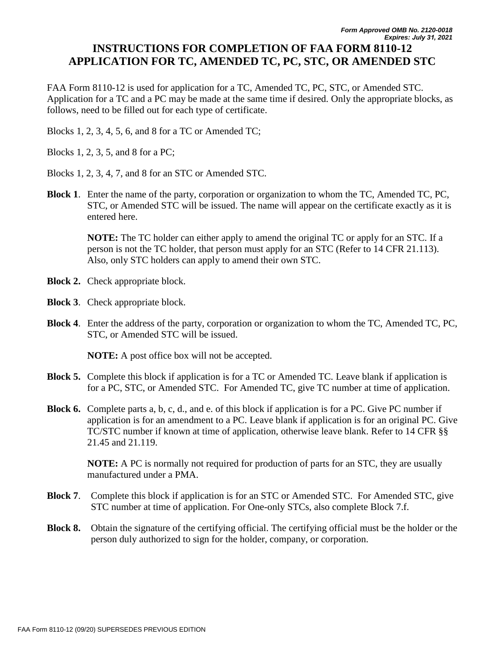## **INSTRUCTIONS FOR COMPLETION OF FAA FORM 8110-12 APPLICATION FOR TC, AMENDED TC, PC, STC, OR AMENDED STC**

FAA Form 8110-12 is used for application for a TC, Amended TC, PC, STC, or Amended STC. Application for a TC and a PC may be made at the same time if desired. Only the appropriate blocks, as follows, need to be filled out for each type of certificate.

Blocks 1, 2, 3, 4, 5, 6, and 8 for a TC or Amended TC;

Blocks 1, 2, 3, 5, and 8 for a PC;

Blocks 1, 2, 3, 4, 7, and 8 for an STC or Amended STC.

**Block 1**. Enter the name of the party, corporation or organization to whom the TC, Amended TC, PC, STC, or Amended STC will be issued. The name will appear on the certificate exactly as it is entered here.

**NOTE:** The TC holder can either apply to amend the original TC or apply for an STC. If a person is not the TC holder, that person must apply for an STC (Refer to 14 CFR 21.113). Also, only STC holders can apply to amend their own STC.

- **Block 2.** Check appropriate block.
- **Block 3**. Check appropriate block.
- **Block 4**. Enter the address of the party, corporation or organization to whom the TC, Amended TC, PC, STC, or Amended STC will be issued.

**NOTE:** A post office box will not be accepted.

- **Block 5.** Complete this block if application is for a TC or Amended TC. Leave blank if application is for a PC, STC, or Amended STC. For Amended TC, give TC number at time of application.
- **Block 6.** Complete parts a, b, c, d., and e. of this block if application is for a PC. Give PC number if application is for an amendment to a PC. Leave blank if application is for an original PC. Give TC/STC number if known at time of application, otherwise leave blank. Refer to 14 CFR §§ 21.45 and 21.119.

**NOTE:** A PC is normally not required for production of parts for an STC, they are usually manufactured under a PMA.

- **Block 7**. Complete this block if application is for an STC or Amended STC. For Amended STC, give STC number at time of application. For One-only STCs, also complete Block 7.f.
- **Block 8.** Obtain the signature of the certifying official. The certifying official must be the holder or the person duly authorized to sign for the holder, company, or corporation.